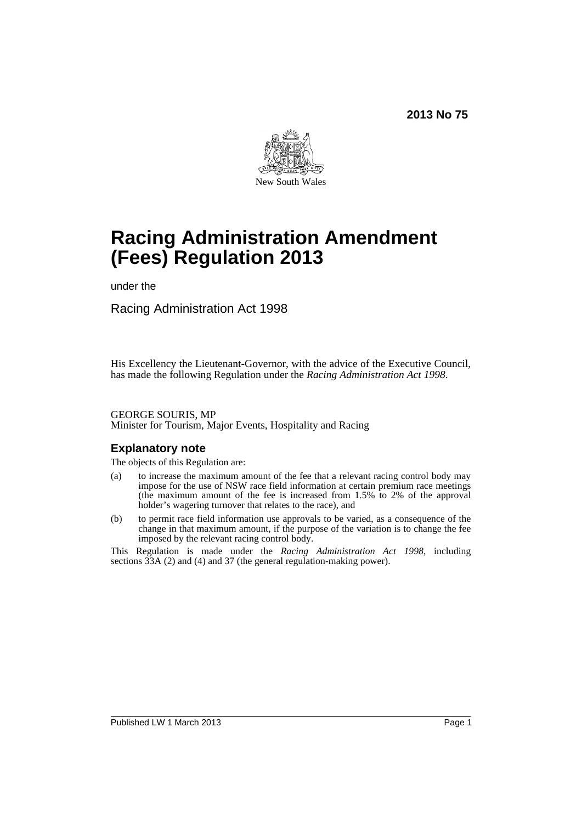

# **Racing Administration Amendment (Fees) Regulation 2013**

under the

Racing Administration Act 1998

His Excellency the Lieutenant-Governor, with the advice of the Executive Council, has made the following Regulation under the *Racing Administration Act 1998*.

#### GEORGE SOURIS, MP Minister for Tourism, Major Events, Hospitality and Racing

### **Explanatory note**

The objects of this Regulation are:

- (a) to increase the maximum amount of the fee that a relevant racing control body may impose for the use of NSW race field information at certain premium race meetings (the maximum amount of the fee is increased from 1.5% to 2% of the approval holder's wagering turnover that relates to the race), and
- (b) to permit race field information use approvals to be varied, as a consequence of the change in that maximum amount, if the purpose of the variation is to change the fee imposed by the relevant racing control body.

This Regulation is made under the *Racing Administration Act 1998*, including sections  $33A$  (2) and (4) and 37 (the general regulation-making power).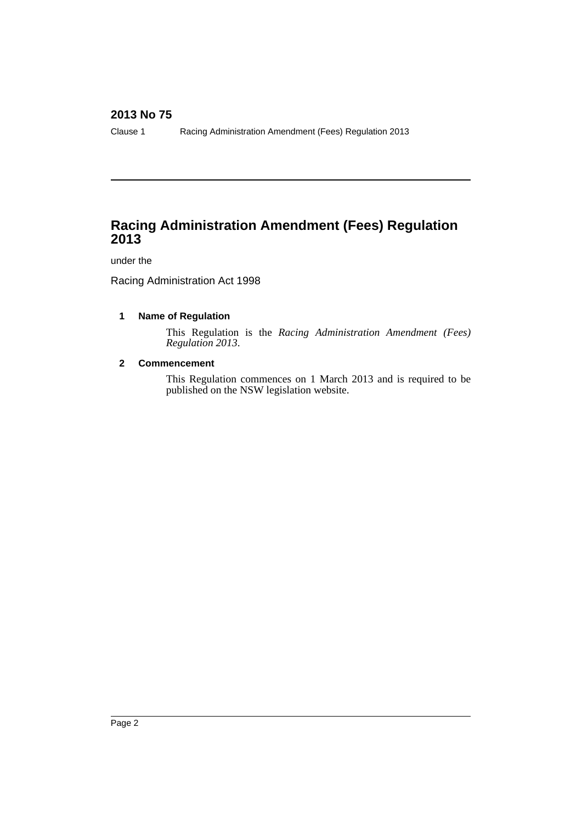Clause 1 Racing Administration Amendment (Fees) Regulation 2013

# **Racing Administration Amendment (Fees) Regulation 2013**

### under the

Racing Administration Act 1998

### **1 Name of Regulation**

This Regulation is the *Racing Administration Amendment (Fees) Regulation 2013*.

### **2 Commencement**

This Regulation commences on 1 March 2013 and is required to be published on the NSW legislation website.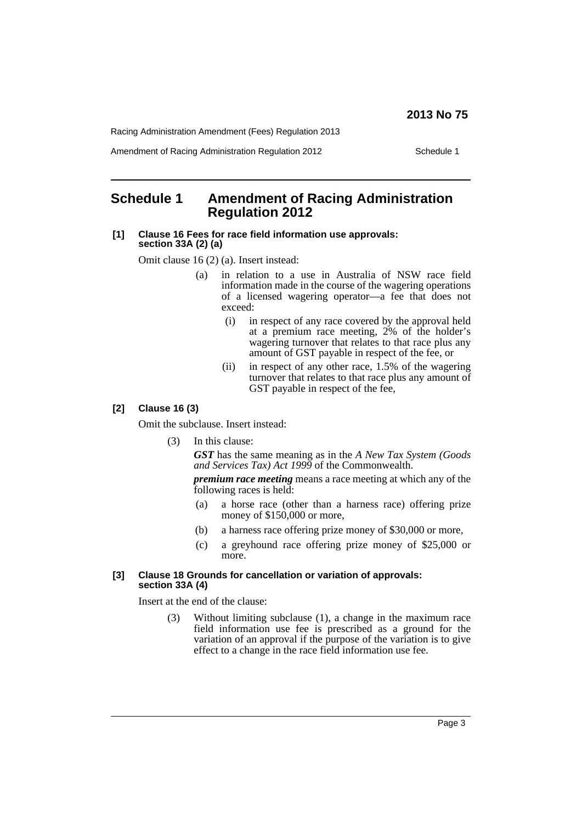Racing Administration Amendment (Fees) Regulation 2013

Amendment of Racing Administration Regulation 2012 Schedule 1

### **Schedule 1 Amendment of Racing Administration Regulation 2012**

#### **[1] Clause 16 Fees for race field information use approvals: section 33A (2) (a)**

Omit clause 16 (2) (a). Insert instead:

- (a) in relation to a use in Australia of NSW race field information made in the course of the wagering operations of a licensed wagering operator—a fee that does not exceed:
	- (i) in respect of any race covered by the approval held at a premium race meeting, 2% of the holder's wagering turnover that relates to that race plus any amount of GST payable in respect of the fee, or
	- (ii) in respect of any other race, 1.5% of the wagering turnover that relates to that race plus any amount of GST payable in respect of the fee,

### **[2] Clause 16 (3)**

Omit the subclause. Insert instead:

(3) In this clause:

*GST* has the same meaning as in the *A New Tax System (Goods and Services Tax) Act 1999* of the Commonwealth.

*premium race meeting* means a race meeting at which any of the following races is held:

- (a) a horse race (other than a harness race) offering prize money of \$150,000 or more,
- (b) a harness race offering prize money of \$30,000 or more,
- (c) a greyhound race offering prize money of \$25,000 or more.

#### **[3] Clause 18 Grounds for cancellation or variation of approvals: section 33A (4)**

Insert at the end of the clause:

(3) Without limiting subclause (1), a change in the maximum race field information use fee is prescribed as a ground for the variation of an approval if the purpose of the variation is to give effect to a change in the race field information use fee.